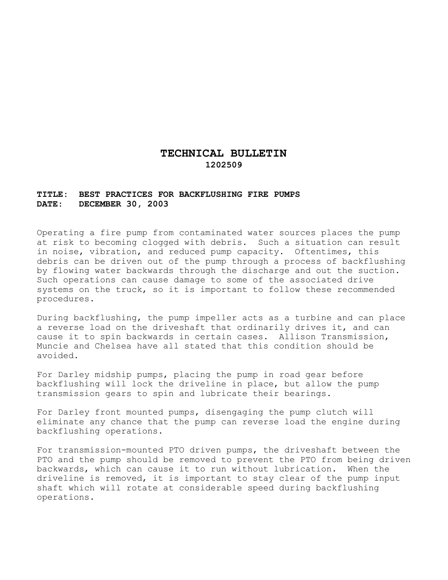## **TECHNICAL BULLETIN 1202509**

## **TITLE: BEST PRACTICES FOR BACKFLUSHING FIRE PUMPS DATE: DECEMBER 30, 2003**

Operating a fire pump from contaminated water sources places the pump at risk to becoming clogged with debris. Such a situation can result in noise, vibration, and reduced pump capacity. Oftentimes, this debris can be driven out of the pump through a process of backflushing by flowing water backwards through the discharge and out the suction. Such operations can cause damage to some of the associated drive systems on the truck, so it is important to follow these recommended procedures.

During backflushing, the pump impeller acts as a turbine and can place a reverse load on the driveshaft that ordinarily drives it, and can cause it to spin backwards in certain cases. Allison Transmission, Muncie and Chelsea have all stated that this condition should be avoided.

For Darley midship pumps, placing the pump in road gear before backflushing will lock the driveline in place, but allow the pump transmission gears to spin and lubricate their bearings.

For Darley front mounted pumps, disengaging the pump clutch will eliminate any chance that the pump can reverse load the engine during backflushing operations.

For transmission-mounted PTO driven pumps, the driveshaft between the PTO and the pump should be removed to prevent the PTO from being driven backwards, which can cause it to run without lubrication. When the driveline is removed, it is important to stay clear of the pump input shaft which will rotate at considerable speed during backflushing operations.